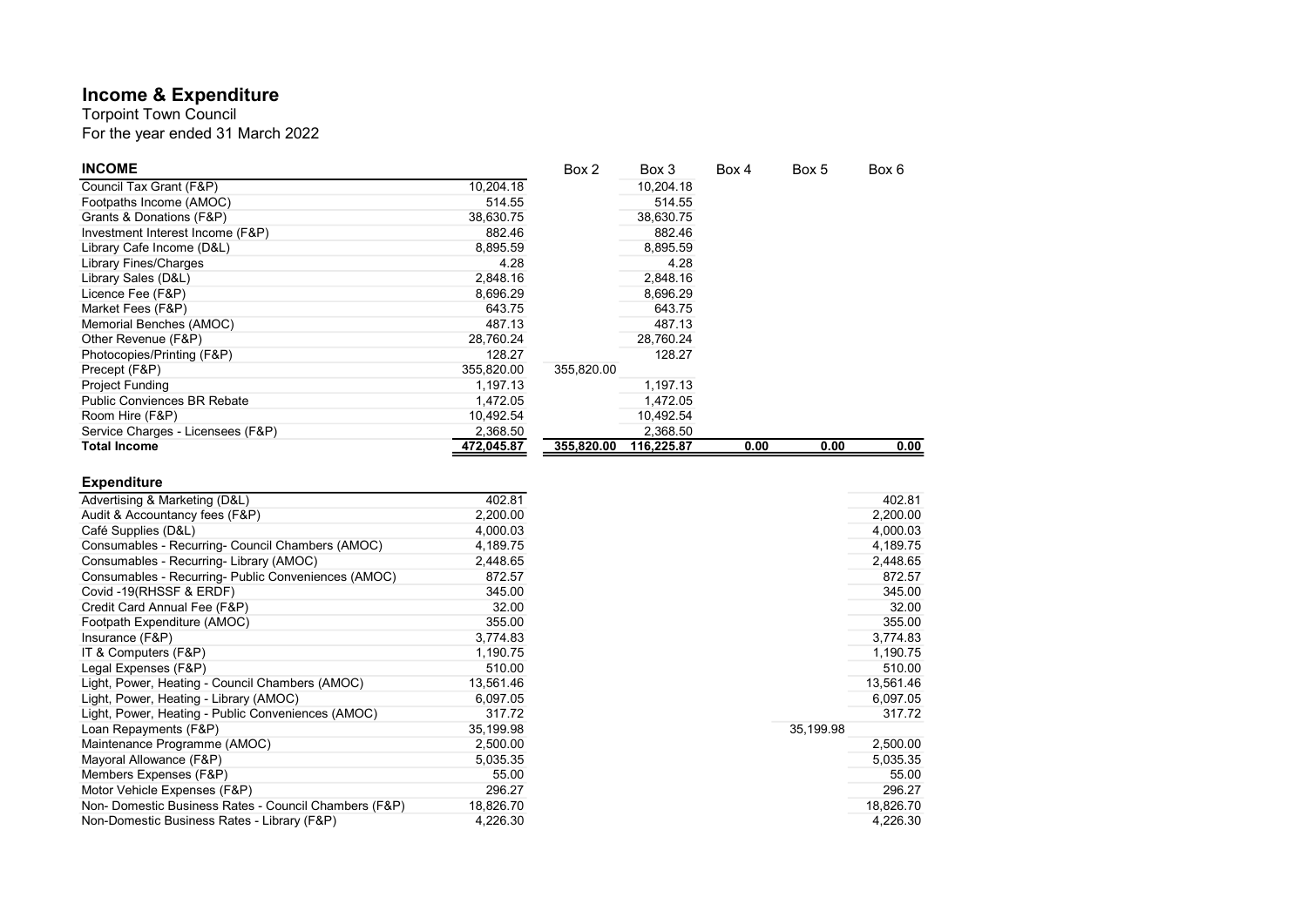## Income & Expenditure

For the year ended 31 March 2022 Torpoint Town Council

| <b>INCOME</b>                      |            | Box 2      | Box 3      | Box 4 | Box 5 | Box 6 |
|------------------------------------|------------|------------|------------|-------|-------|-------|
| Council Tax Grant (F&P)            | 10,204.18  |            | 10,204.18  |       |       |       |
| Footpaths Income (AMOC)            | 514.55     |            | 514.55     |       |       |       |
| Grants & Donations (F&P)           | 38,630.75  |            | 38.630.75  |       |       |       |
| Investment Interest Income (F&P)   | 882.46     |            | 882.46     |       |       |       |
| Library Cafe Income (D&L)          | 8,895.59   |            | 8,895.59   |       |       |       |
| Library Fines/Charges              | 4.28       |            | 4.28       |       |       |       |
| Library Sales (D&L)                | 2,848.16   |            | 2,848.16   |       |       |       |
| Licence Fee (F&P)                  | 8,696.29   |            | 8,696.29   |       |       |       |
| Market Fees (F&P)                  | 643.75     |            | 643.75     |       |       |       |
| Memorial Benches (AMOC)            | 487.13     |            | 487.13     |       |       |       |
| Other Revenue (F&P)                | 28,760.24  |            | 28,760.24  |       |       |       |
| Photocopies/Printing (F&P)         | 128.27     |            | 128.27     |       |       |       |
| Precept (F&P)                      | 355,820.00 | 355,820.00 |            |       |       |       |
| <b>Project Funding</b>             | 1,197.13   |            | 1,197.13   |       |       |       |
| <b>Public Conviences BR Rebate</b> | 1,472.05   |            | 1,472.05   |       |       |       |
| Room Hire (F&P)                    | 10,492.54  |            | 10,492.54  |       |       |       |
| Service Charges - Licensees (F&P)  | 2,368.50   |            | 2.368.50   |       |       |       |
| <b>Total Income</b>                | 472,045.87 | 355,820.00 | 116,225.87 | 0.00  | 0.00  | 0.00  |

## Expenditure

| Advertising & Marketing (D&L)                        | 402.81    |
|------------------------------------------------------|-----------|
| Audit & Accountancy fees (F&P)                       | 2,200.00  |
| Café Supplies (D&L)                                  | 4,000.03  |
| Consumables - Recurring- Council Chambers (AMOC)     | 4,189.75  |
| Consumables - Recurring- Library (AMOC)              | 2,448.65  |
| Consumables - Recurring- Public Conveniences (AMOC)  | 872.57    |
| Covid -19(RHSSF & ERDF)                              | 345.00    |
| Credit Card Annual Fee (F&P)                         | 32.00     |
| Footpath Expenditure (AMOC)                          | 355.00    |
| Insurance (F&P)                                      | 3,774.83  |
| IT & Computers (F&P)                                 | 1,190.75  |
| Legal Expenses (F&P)                                 | 510.00    |
| Light, Power, Heating - Council Chambers (AMOC)      | 13,561.46 |
| Light, Power, Heating - Library (AMOC)               | 6,097.05  |
| Light, Power, Heating - Public Conveniences (AMOC)   | 317.72    |
| Loan Repayments (F&P)                                | 35,199.98 |
| Maintenance Programme (AMOC)                         | 2,500.00  |
| Mayoral Allowance (F&P)                              | 5,035.35  |
| Members Expenses (F&P)                               | 55.00     |
| Motor Vehicle Expenses (F&P)                         | 296.27    |
| Non-Domestic Business Rates - Council Chambers (F&P) | 18,826.70 |
| Non-Domestic Business Rates - Library (F&P)          | 4,226.30  |